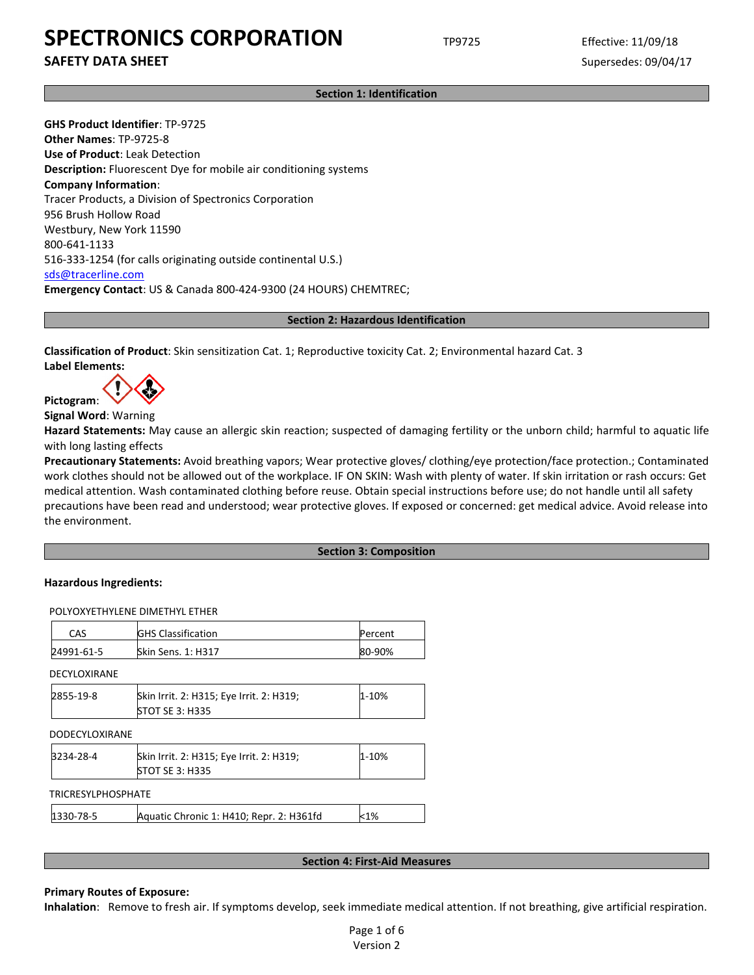**SAFETY DATA SHEET** SUPERFOUR SUPERFOUR SUPERFOUR SUPERFOUR SUPERFOUR SUPERFOUR SUPERFOUR SUPERFOUR SUPERFOUR SUPERFOUR SUPERFOUR SUPERFOUR SUPERFOUR SUPERFOUR SUPERFOUR SUPERFOUR SUPERFOUR SUPERFOUR SUPERFOUR SUPERFOUR SU

**Section 1: Identification**

**GHS Product Identifier**: TP-9725 **Other Names**: TP-9725-8 **Use of Product**: Leak Detection **Description:** Fluorescent Dye for mobile air conditioning systems **Company Information**: Tracer Products, a Division of Spectronics Corporation 956 Brush Hollow Road Westbury, New York 11590 800-641-1133 516-333-1254 (for calls originating outside continental U.S.) [sds@tracerline.com](mailto:sds@tracerline.com) **Emergency Contact**: US & Canada 800-424-9300 (24 HOURS) CHEMTREC;

**Section 2: Hazardous Identification**

**Classification of Product**: Skin sensitization Cat. 1; Reproductive toxicity Cat. 2; Environmental hazard Cat. 3 **Label Elements:** 

**Pictogram**:

**Signal Word**: Warning

**Hazard Statements:** May cause an allergic skin reaction; suspected of damaging fertility or the unborn child; harmful to aquatic life with long lasting effects

**Precautionary Statements:** Avoid breathing vapors; Wear protective gloves/ clothing/eye protection/face protection.; Contaminated work clothes should not be allowed out of the workplace. IF ON SKIN: Wash with plenty of water. If skin irritation or rash occurs: Get medical attention. Wash contaminated clothing before reuse. Obtain special instructions before use; do not handle until all safety precautions have been read and understood; wear protective gloves. If exposed or concerned: get medical advice. Avoid release into the environment.

## **Section 3: Composition**

## **Hazardous Ingredients:**

POLYOXYETHYLENE DIMETHYL ETHER

| CAS        | <b>GHS Classification</b> | Percent |
|------------|---------------------------|---------|
| 24991-61-5 | <b>Skin Sens. 1: H317</b> | 80-90%  |
|            |                           |         |

DECYLOXIRANE

| 2855-19-8 | Skin Irrit. 2: H315; Eye Irrit. 2: H319; | 1-10% |
|-----------|------------------------------------------|-------|
|           | <b>STOT SE 3: H335</b>                   |       |

| <b>DODECYLOXIRANE</b>     |                                                                    |           |
|---------------------------|--------------------------------------------------------------------|-----------|
| 3234-28-4                 | Skin Irrit. 2: H315; Eye Irrit. 2: H319;<br><b>STOT SE 3: H335</b> | $1 - 10%$ |
| <b>TRICRESYLPHOSPHATE</b> |                                                                    |           |
| 1330-78-5                 | Aquatic Chronic 1: H410; Repr. 2: H361fd                           | $< 1\%$   |

#### **Section 4: First-Aid Measures**

## **Primary Routes of Exposure:**

**Inhalation**: Remove to fresh air. If symptoms develop, seek immediate medical attention. If not breathing, give artificial respiration.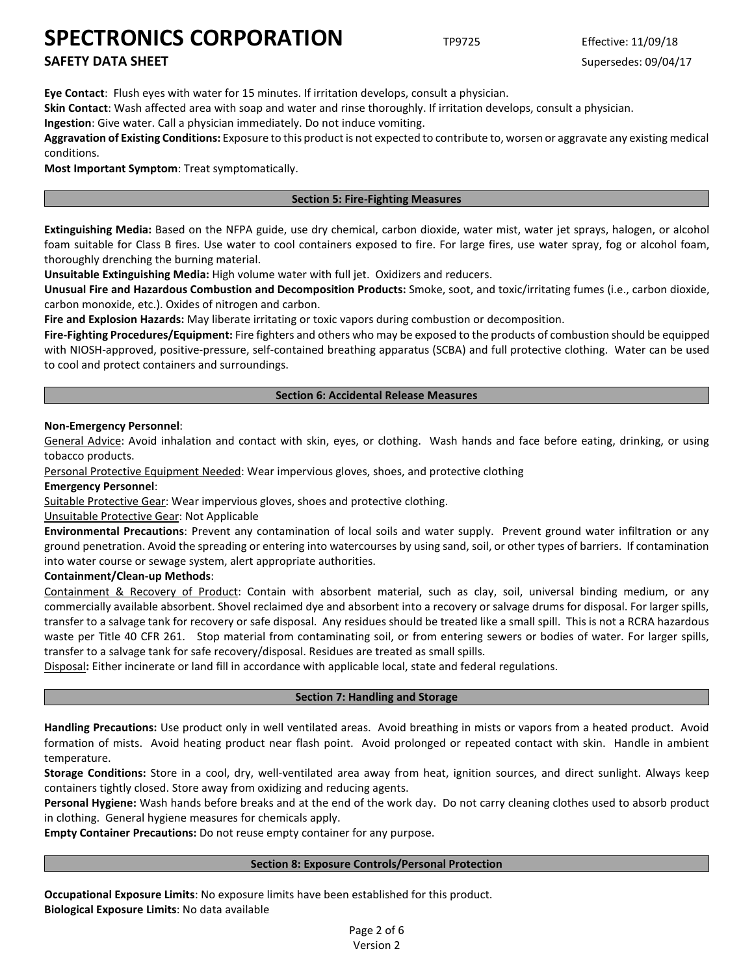# **SAFETY DATA SHEET** SUPERFOUR SUPERFOUR SUPERFOUR SUPERFOUR SUPERFOUR SUPERFOUR SUPERFOUR SUPERFOUR SUPERFOUR SUPERFOUR SUPERFOUR SUPERFOUR SUPERFOUR SUPERFOUR SUPERFOUR SUPERFOUR SUPERFOUR SUPERFOUR SUPERFOUR SUPERFOUR SU

**Eye Contact**: Flush eyes with water for 15 minutes. If irritation develops, consult a physician.

**Skin Contact**: Wash affected area with soap and water and rinse thoroughly. If irritation develops, consult a physician.

**Ingestion**: Give water. Call a physician immediately. Do not induce vomiting.

**Aggravation of Existing Conditions:** Exposure to this product is not expected to contribute to, worsen or aggravate any existing medical conditions.

**Most Important Symptom**: Treat symptomatically.

## **Section 5: Fire-Fighting Measures**

**Extinguishing Media:** Based on the NFPA guide, use dry chemical, carbon dioxide, water mist, water jet sprays, halogen, or alcohol foam suitable for Class B fires. Use water to cool containers exposed to fire. For large fires, use water spray, fog or alcohol foam, thoroughly drenching the burning material.

**Unsuitable Extinguishing Media:** High volume water with full jet. Oxidizers and reducers.

**Unusual Fire and Hazardous Combustion and Decomposition Products:** Smoke, soot, and toxic/irritating fumes (i.e., carbon dioxide, carbon monoxide, etc.). Oxides of nitrogen and carbon.

**Fire and Explosion Hazards:** May liberate irritating or toxic vapors during combustion or decomposition.

**Fire-Fighting Procedures/Equipment:** Fire fighters and others who may be exposed to the products of combustion should be equipped with NIOSH-approved, positive-pressure, self-contained breathing apparatus (SCBA) and full protective clothing. Water can be used to cool and protect containers and surroundings.

## **Section 6: Accidental Release Measures**

## **Non-Emergency Personnel**:

General Advice: Avoid inhalation and contact with skin, eyes, or clothing. Wash hands and face before eating, drinking, or using tobacco products.

Personal Protective Equipment Needed: Wear impervious gloves, shoes, and protective clothing

**Emergency Personnel**:

Suitable Protective Gear: Wear impervious gloves, shoes and protective clothing.

## Unsuitable Protective Gear: Not Applicable

**Environmental Precautions**: Prevent any contamination of local soils and water supply. Prevent ground water infiltration or any ground penetration. Avoid the spreading or entering into watercourses by using sand, soil, or other types of barriers. If contamination into water course or sewage system, alert appropriate authorities.

## **Containment/Clean-up Methods**:

Containment & Recovery of Product: Contain with absorbent material, such as clay, soil, universal binding medium, or any commercially available absorbent. Shovel reclaimed dye and absorbent into a recovery or salvage drums for disposal. For larger spills, transfer to a salvage tank for recovery or safe disposal. Any residues should be treated like a small spill. This is not a RCRA hazardous waste per Title 40 CFR 261. Stop material from contaminating soil, or from entering sewers or bodies of water. For larger spills, transfer to a salvage tank for safe recovery/disposal. Residues are treated as small spills.

Disposal**:** Either incinerate or land fill in accordance with applicable local, state and federal regulations.

## **Section 7: Handling and Storage**

**Handling Precautions:** Use product only in well ventilated areas. Avoid breathing in mists or vapors from a heated product. Avoid formation of mists. Avoid heating product near flash point. Avoid prolonged or repeated contact with skin. Handle in ambient temperature.

**Storage Conditions:** Store in a cool, dry, well-ventilated area away from heat, ignition sources, and direct sunlight. Always keep containers tightly closed. Store away from oxidizing and reducing agents.

**Personal Hygiene:** Wash hands before breaks and at the end of the work day. Do not carry cleaning clothes used to absorb product in clothing. General hygiene measures for chemicals apply.

**Empty Container Precautions:** Do not reuse empty container for any purpose.

## **Section 8: Exposure Controls/Personal Protection**

**Occupational Exposure Limits**: No exposure limits have been established for this product. **Biological Exposure Limits**: No data available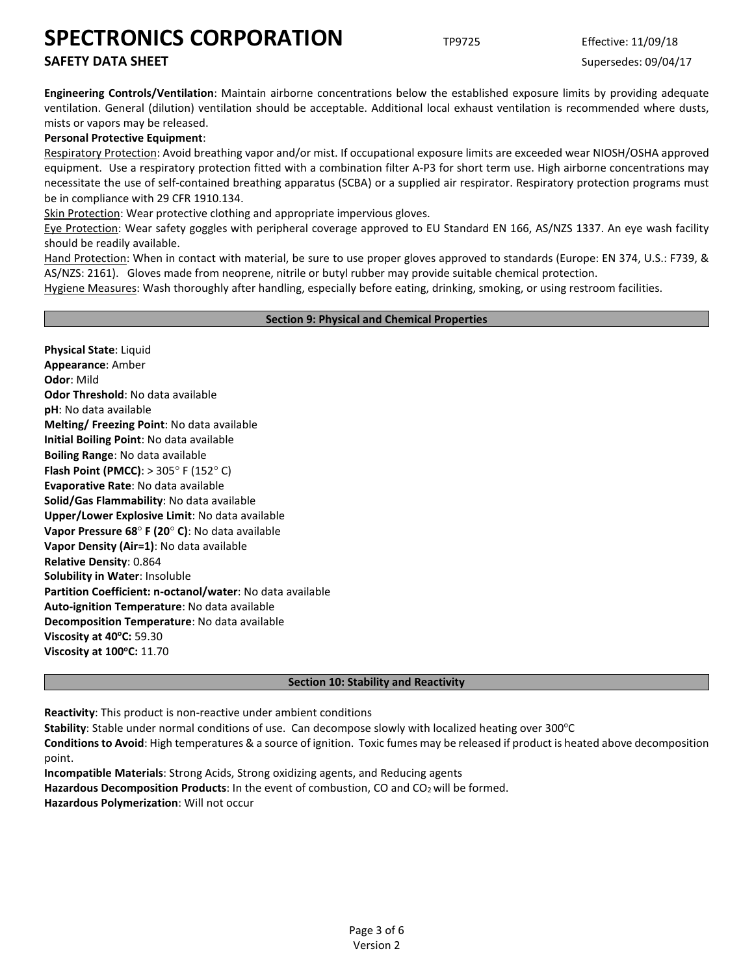# **SAFETY DATA SHEET** SUPERFOUR SUPERFOUR SUPERFOUR SUPERFOUR SUPERFOUR SUPERFOUR SUPERFOUR SUPERFOUR SUPERFOUR SUPERFOUR SUPERFOUR SUPERFOUR SUPERFOUR SUPERFOUR SUPERFOUR SUPERFOUR SUPERFOUR SUPERFOUR SUPERFOUR SUPERFOUR SU

**Engineering Controls/Ventilation**: Maintain airborne concentrations below the established exposure limits by providing adequate ventilation. General (dilution) ventilation should be acceptable. Additional local exhaust ventilation is recommended where dusts, mists or vapors may be released.

## **Personal Protective Equipment**:

Respiratory Protection: Avoid breathing vapor and/or mist. If occupational exposure limits are exceeded wear NIOSH/OSHA approved equipment. Use a respiratory protection fitted with a combination filter A-P3 for short term use. High airborne concentrations may necessitate the use of self-contained breathing apparatus (SCBA) or a supplied air respirator. Respiratory protection programs must be in compliance with 29 CFR 1910.134.

Skin Protection: Wear protective clothing and appropriate impervious gloves.

Eye Protection: Wear safety goggles with peripheral coverage approved to EU Standard EN 166, AS/NZS 1337. An eye wash facility should be readily available.

Hand Protection: When in contact with material, be sure to use proper gloves approved to standards (Europe: EN 374, U.S.: F739, & AS/NZS: 2161). Gloves made from neoprene, nitrile or butyl rubber may provide suitable chemical protection.

Hygiene Measures: Wash thoroughly after handling, especially before eating, drinking, smoking, or using restroom facilities.

## **Section 9: Physical and Chemical Properties**

**Physical State**: Liquid **Appearance**: Amber **Odor**: Mild **Odor Threshold**: No data available **pH**: No data available **Melting/ Freezing Point**: No data available **Initial Boiling Point**: No data available **Boiling Range**: No data available **Flash Point (PMCC)**: > 305° F (152° C) **Evaporative Rate**: No data available **Solid/Gas Flammability**: No data available **Upper/Lower Explosive Limit**: No data available **Vapor Pressure 68**° **F (20**° **C)**: No data available **Vapor Density (Air=1)**: No data available **Relative Density**: 0.864 **Solubility in Water**: Insoluble **Partition Coefficient: n-octanol/water**: No data available **Auto-ignition Temperature**: No data available **Decomposition Temperature**: No data available **Viscosity at 40°C: 59.30 Viscosity at 100°C: 11.70** 

## **Section 10: Stability and Reactivity**

**Reactivity**: This product is non-reactive under ambient conditions

Stability: Stable under normal conditions of use. Can decompose slowly with localized heating over 300°C

**Conditions to Avoid**: High temperatures & a source of ignition. Toxic fumes may be released if product is heated above decomposition point.

**Incompatible Materials**: Strong Acids, Strong oxidizing agents, and Reducing agents **Hazardous Decomposition Products**: In the event of combustion, CO and CO2 will be formed. **Hazardous Polymerization**: Will not occur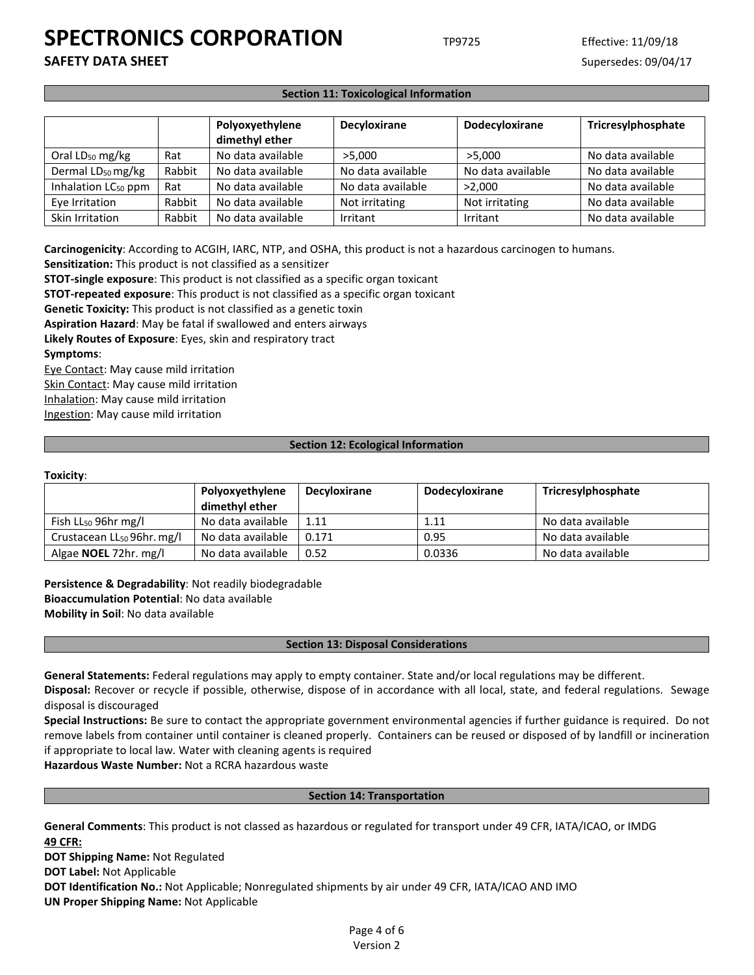**SAFETY DATA SHEET** SUPERFOUR SUPERFOUR SUPERFOUR SUPERFOUR SUPERFOUR SUPERFOUR SUPERFOUR SUPERFOUR SUPERFOUR SUPERFOUR SUPERFOUR SUPERFOUR SUPERFOUR SUPERFOUR SUPERFOUR SUPERFOUR SUPERFOUR SUPERFOUR SUPERFOUR SUPERFOUR SU

## **Section 11: Toxicological Information**

|                                 |        | Polyoxyethylene<br>dimethyl ether | Decyloxirane      | Dodecyloxirane    | Tricresylphosphate |
|---------------------------------|--------|-----------------------------------|-------------------|-------------------|--------------------|
| Oral $LD_{50}$ mg/kg            | Rat    | No data available                 | >5.000            | >5.000            | No data available  |
| Dermal LD <sub>50</sub> mg/kg   | Rabbit | No data available                 | No data available | No data available | No data available  |
| Inhalation LC <sub>50</sub> ppm | Rat    | No data available                 | No data available | >2.000            | No data available  |
| Eye Irritation                  | Rabbit | No data available                 | Not irritating    | Not irritating    | No data available  |
| Skin Irritation                 | Rabbit | No data available                 | Irritant          | Irritant          | No data available  |

**Carcinogenicity**: According to ACGIH, IARC, NTP, and OSHA, this product is not a hazardous carcinogen to humans.

**Sensitization:** This product is not classified as a sensitizer

**STOT-single exposure**: This product is not classified as a specific organ toxicant

**STOT-repeated exposure**: This product is not classified as a specific organ toxicant

**Genetic Toxicity:** This product is not classified as a genetic toxin

**Aspiration Hazard**: May be fatal if swallowed and enters airways

**Likely Routes of Exposure**: Eyes, skin and respiratory tract **Symptoms**:

Eye Contact: May cause mild irritation Skin Contact: May cause mild irritation Inhalation: May cause mild irritation Ingestion: May cause mild irritation

### **Section 12: Ecological Information**

#### **Toxicity**:

|                                        | Polyoxyethylene   | Decyloxirane | <b>Dodecyloxirane</b> | Tricresylphosphate |
|----------------------------------------|-------------------|--------------|-----------------------|--------------------|
|                                        | dimethyl ether    |              |                       |                    |
| Fish $LL_{50}$ 96hr mg/l               | No data available | 1.11         | 1.11                  | No data available  |
| Crustacean LL <sub>50</sub> 96hr. mg/l | No data available | 0.171        | 0.95                  | No data available  |
| Algae <b>NOEL</b> 72hr. mg/l           | No data available | 0.52         | 0.0336                | No data available  |

**Persistence & Degradability**: Not readily biodegradable **Bioaccumulation Potential**: No data available **Mobility in Soil**: No data available

## **Section 13: Disposal Considerations**

**General Statements:** Federal regulations may apply to empty container. State and/or local regulations may be different.

**Disposal:** Recover or recycle if possible, otherwise, dispose of in accordance with all local, state, and federal regulations. Sewage disposal is discouraged

**Special Instructions:** Be sure to contact the appropriate government environmental agencies if further guidance is required. Do not remove labels from container until container is cleaned properly. Containers can be reused or disposed of by landfill or incineration if appropriate to local law. Water with cleaning agents is required

**Hazardous Waste Number:** Not a RCRA hazardous waste

## **Section 14: Transportation**

**General Comments**: This product is not classed as hazardous or regulated for transport under 49 CFR, IATA/ICAO, or IMDG **49 CFR:**

**DOT Shipping Name:** Not Regulated

**DOT Label:** Not Applicable

**DOT Identification No.:** Not Applicable; Nonregulated shipments by air under 49 CFR, IATA/ICAO AND IMO

**UN Proper Shipping Name:** Not Applicable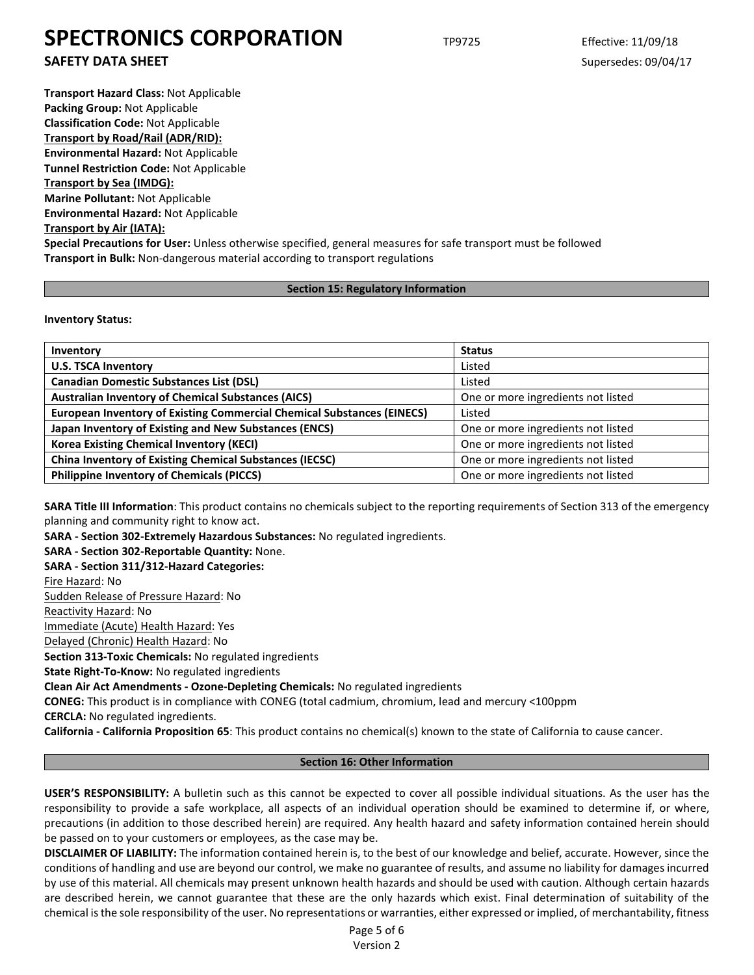**SAFETY DATA SHEET** SUPERFOUR SUPERFOUR SUPERFOUR SUPERFOUR SUPERFOUR SUPERFOUR SUPERFOUR SUPERFOUR SUPERFOUR SUPERFOUR SUPERFOUR SUPERFOUR SUPERFOUR SUPERFOUR SUPERFOUR SUPERFOUR SUPERFOUR SUPERFOUR SUPERFOUR SUPERFOUR SU

**Transport Hazard Class:** Not Applicable **Packing Group:** Not Applicable **Classification Code:** Not Applicable **Transport by Road/Rail (ADR/RID): Environmental Hazard:** Not Applicable **Tunnel Restriction Code:** Not Applicable **Transport by Sea (IMDG): Marine Pollutant:** Not Applicable **Environmental Hazard:** Not Applicable **Transport by Air (IATA): Special Precautions for User:** Unless otherwise specified, general measures for safe transport must be followed **Transport in Bulk:** Non-dangerous material according to transport regulations

## **Section 15: Regulatory Information**

**Inventory Status:** 

| Inventory                                                                     | <b>Status</b>                      |  |  |
|-------------------------------------------------------------------------------|------------------------------------|--|--|
| <b>U.S. TSCA Inventory</b>                                                    | Listed                             |  |  |
| <b>Canadian Domestic Substances List (DSL)</b>                                | Listed                             |  |  |
| <b>Australian Inventory of Chemical Substances (AICS)</b>                     | One or more ingredients not listed |  |  |
| <b>European Inventory of Existing Commercial Chemical Substances (EINECS)</b> | Listed                             |  |  |
| Japan Inventory of Existing and New Substances (ENCS)                         | One or more ingredients not listed |  |  |
| <b>Korea Existing Chemical Inventory (KECI)</b>                               | One or more ingredients not listed |  |  |
| <b>China Inventory of Existing Chemical Substances (IECSC)</b>                | One or more ingredients not listed |  |  |
| <b>Philippine Inventory of Chemicals (PICCS)</b>                              | One or more ingredients not listed |  |  |

**SARA Title III Information**: This product contains no chemicals subject to the reporting requirements of Section 313 of the emergency planning and community right to know act.

**SARA - Section 302-Extremely Hazardous Substances:** No regulated ingredients.

**SARA - Section 302-Reportable Quantity:** None.

**SARA - Section 311/312-Hazard Categories:**

Fire Hazard: No

Sudden Release of Pressure Hazard: No

Reactivity Hazard: No

Immediate (Acute) Health Hazard: Yes

Delayed (Chronic) Health Hazard: No

**Section 313-Toxic Chemicals:** No regulated ingredients

**State Right-To-Know:** No regulated ingredients

**Clean Air Act Amendments - Ozone-Depleting Chemicals:** No regulated ingredients

**CONEG:** This product is in compliance with CONEG (total cadmium, chromium, lead and mercury <100ppm

**CERCLA:** No regulated ingredients.

**California - California Proposition 65**: This product contains no chemical(s) known to the state of California to cause cancer.

## **Section 16: Other Information**

**USER'S RESPONSIBILITY:** A bulletin such as this cannot be expected to cover all possible individual situations. As the user has the responsibility to provide a safe workplace, all aspects of an individual operation should be examined to determine if, or where, precautions (in addition to those described herein) are required. Any health hazard and safety information contained herein should be passed on to your customers or employees, as the case may be.

**DISCLAIMER OF LIABILITY:** The information contained herein is, to the best of our knowledge and belief, accurate. However, since the conditions of handling and use are beyond our control, we make no guarantee of results, and assume no liability for damages incurred by use of this material. All chemicals may present unknown health hazards and should be used with caution. Although certain hazards are described herein, we cannot guarantee that these are the only hazards which exist. Final determination of suitability of the chemical is the sole responsibility of the user. No representations or warranties, either expressed or implied, of merchantability, fitness